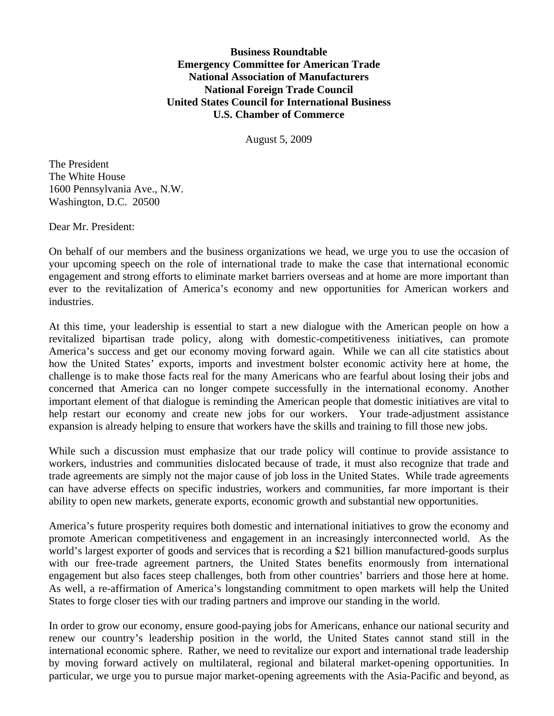**Business Roundtable Emergency Committee for American Trade National Association of Manufacturers National Foreign Trade Council United States Council for International Business U.S. Chamber of Commerce** 

August 5, 2009

The President The White House 1600 Pennsylvania Ave., N.W. Washington, D.C. 20500

Dear Mr. President:

On behalf of our members and the business organizations we head, we urge you to use the occasion of your upcoming speech on the role of international trade to make the case that international economic engagement and strong efforts to eliminate market barriers overseas and at home are more important than ever to the revitalization of America's economy and new opportunities for American workers and industries.

At this time, your leadership is essential to start a new dialogue with the American people on how a revitalized bipartisan trade policy, along with domestic-competitiveness initiatives, can promote America's success and get our economy moving forward again. While we can all cite statistics about how the United States' exports, imports and investment bolster economic activity here at home, the challenge is to make those facts real for the many Americans who are fearful about losing their jobs and concerned that America can no longer compete successfully in the international economy. Another important element of that dialogue is reminding the American people that domestic initiatives are vital to help restart our economy and create new jobs for our workers. Your trade-adjustment assistance expansion is already helping to ensure that workers have the skills and training to fill those new jobs.

While such a discussion must emphasize that our trade policy will continue to provide assistance to workers, industries and communities dislocated because of trade, it must also recognize that trade and trade agreements are simply not the major cause of job loss in the United States. While trade agreements can have adverse effects on specific industries, workers and communities, far more important is their ability to open new markets, generate exports, economic growth and substantial new opportunities.

America's future prosperity requires both domestic and international initiatives to grow the economy and promote American competitiveness and engagement in an increasingly interconnected world. As the world's largest exporter of goods and services that is recording a \$21 billion manufactured-goods surplus with our free-trade agreement partners, the United States benefits enormously from international engagement but also faces steep challenges, both from other countries' barriers and those here at home. As well, a re-affirmation of America's longstanding commitment to open markets will help the United States to forge closer ties with our trading partners and improve our standing in the world.

In order to grow our economy, ensure good-paying jobs for Americans, enhance our national security and renew our country's leadership position in the world, the United States cannot stand still in the international economic sphere. Rather, we need to revitalize our export and international trade leadership by moving forward actively on multilateral, regional and bilateral market-opening opportunities. In particular, we urge you to pursue major market-opening agreements with the Asia-Pacific and beyond, as